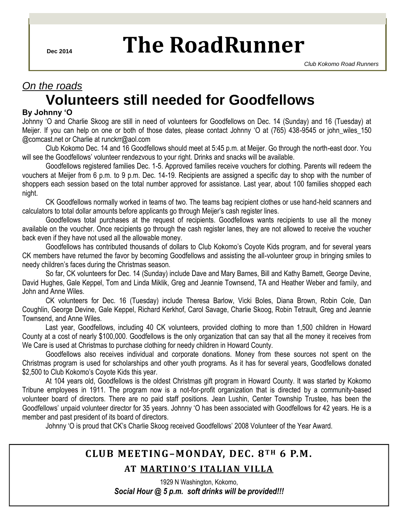# **Dec 2014 The RoadRunner**

### *On the roads*

## **Volunteers still needed for Goodfellows**

### **By Johnny 'O**

Johnny 'O and Charlie Skoog are still in need of volunteers for Goodfellows on Dec. 14 (Sunday) and 16 (Tuesday) at Meijer. If you can help on one or both of those dates, please contact Johnny 'O at (765) 438-9545 or john wiles 150 @comcast.net or Charlie at runckrr@aol.com

Club Kokomo Dec. 14 and 16 Goodfellows should meet at 5:45 p.m. at Meijer. Go through the north-east door. You will see the Goodfellows' volunteer rendezvous to your right. Drinks and snacks will be available.

Goodfellows registered families Dec. 1-5. Approved families receive vouchers for clothing. Parents will redeem the vouchers at Meijer from 6 p.m. to 9 p.m. Dec. 14-19. Recipients are assigned a specific day to shop with the number of shoppers each session based on the total number approved for assistance. Last year, about 100 families shopped each night.

CK Goodfellows normally worked in teams of two. The teams bag recipient clothes or use hand-held scanners and calculators to total dollar amounts before applicants go through Meijer's cash register lines.

Goodfellows total purchases at the request of recipients. Goodfellows wants recipients to use all the money available on the voucher. Once recipients go through the cash register lanes, they are not allowed to receive the voucher back even if they have not used all the allowable money.

Goodfellows has contributed thousands of dollars to Club Kokomo's Coyote Kids program, and for several years CK members have returned the favor by becoming Goodfellows and assisting the all-volunteer group in bringing smiles to needy children's faces during the Christmas season.

So far, CK volunteers for Dec. 14 (Sunday) include Dave and Mary Barnes, Bill and Kathy Barnett, George Devine, David Hughes, Gale Keppel, Tom and Linda Miklik, Greg and Jeannie Townsend, TA and Heather Weber and family, and John and Anne Wiles.

CK volunteers for Dec. 16 (Tuesday) include Theresa Barlow, Vicki Boles, Diana Brown, Robin Cole, Dan Coughlin, George Devine, Gale Keppel, Richard Kerkhof, Carol Savage, Charlie Skoog, Robin Tetrault, Greg and Jeannie Townsend, and Anne Wiles.

Last year, Goodfellows, including 40 CK volunteers, provided clothing to more than 1,500 children in Howard County at a cost of nearly \$100,000. Goodfellows is the only organization that can say that all the money it receives from We Care is used at Christmas to purchase clothing for needy children in Howard County.

Goodfellows also receives individual and corporate donations. Money from these sources not spent on the Christmas program is used for scholarships and other youth programs. As it has for several years, Goodfellows donated \$2,500 to Club Kokomo's Coyote Kids this year.

At 104 years old, Goodfellows is the oldest Christmas gift program in Howard County. It was started by Kokomo Tribune employees in 1911. The program now is a not-for-profit organization that is directed by a community-based volunteer board of directors. There are no paid staff positions. Jean Lushin, Center Township Trustee, has been the Goodfellows' unpaid volunteer director for 35 years. Johnny 'O has been associated with Goodfellows for 42 years. He is a member and past president of its board of directors.

Johnny 'O is proud that CK's Charlie Skoog received Goodfellows' 2008 Volunteer of the Year Award.

### **CLUB MEETING–MONDAY, DEC. 8 T H 6 P.M.**

### AT MARTINO'S ITALIAN VILLA

1929 N Washington, Kokomo, *Social Hour @ 5 p.m. soft drinks will be provided!!!*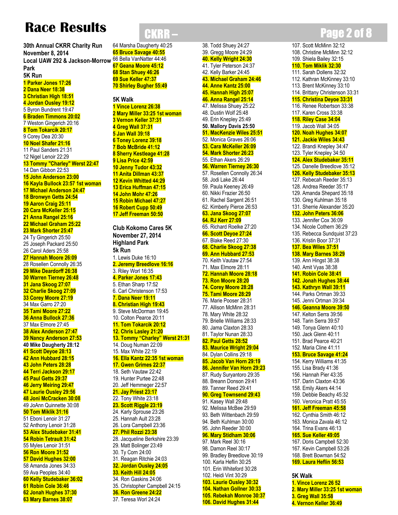## **Race Results**

**30th Annual CKRR Charity Run November 8, 2014 Local UAW 292 & Jackson-Morrow**  66 Bella VanNatter 44:46 **Park 5K Run 1 Parker Jones 17:26 2 Dana Neer 18:38 3 Christian High 18:51 4 Jordan Ousley 19:12** 5 Byron Bundrent 19:47 **6 Braden Timmons 20:02** 7 Weston Gingerich 20:16 **8 Tom Tokarcik 20:17** 9 Corey Dea 20:30 **10 Noel Shafer 21:16** 11 Paul Sanders 21:31 12 Nigel Lenoir 22:29 **13 Tommy "Charley" Werst 22:47** 14 Dan Gibbon 22:53 **15 John Anderson 23:00 16 Kayla Bullock 23:57 1st woman 17 Michael Anderson 24:47 18 Bronwyn Getts 24:54 19 Aaron Craig 25:11 20 Cara McKeller 25:15 21 Anna Rangel 25:16 22 Michael Graham 25:22 23 Mark Shorter 25:47** 24 Ty Gingerich 25:50 25 Joseph Packard 25:50 26 Carol Aders 25:58 **27 Hannah Moore 26:09** 28 Rosellen Connolly 26:35 **29 Mike Deardorff 26:38 30 Warren Tierney 26:48 31 Jana Skoog 27:07 32 Charlie Skoog 27:09 33 Corey Moore 27:19** 34 Max Garro 27:20 **35 Tami Moore 27:22 36 Anna Bullock 27:36** 37 Max Elmore 27:45 **38 Alex Anderson 27:47 39 Nancy Anderson 27:53 40 Mike Daugherty 28:12 41 Scott Deyoe 28:13 42 Ann Hubbard 28:15 43 John Peters 28:28 44 Terri Jackson 29:17 45 Paul Getts 29:37 46 Jerry Meiring 29:47 47 Laurie Ousley 29:56 48 Joni McCracken 30:08** 49 JoAnn Quinnette 30:08 **50 Tom Miklik 31:16** 51 Eboni Lenoir 31:27 52 Anthony Lenoir 31:28 **53 Alex Studebaker 31:41 54 Robin Tetrault 31:42** 55 Myles Lenoir 31:51 **56 Ron Moore 31:52 57 David Hughes 32:00** 58 Amanda Jones 34:33 59 Ava Peoples 34:40 **60 Kelly Studebaker 36:02 61 Robin Cole 36:46 62 Jonah Hughes 37:30 63 Mary Barnes 38:07**

64 Marsha Daugherty 40:25 **65 Bruce Savage 40:55 67 Geana Moore 45:12 68 Stan Shuey 46:26 69 Sue Keller 47:37 70 Shirley Bugher 55:49**

#### **5K Walk 1 Vince Lorenz 26:38 2 Mary Miller 33:25 1st woman 3 Vernon Keller 37:31 4 Greg Wall 37:31 5 Jan Wall 39:18 6 Toney Lorenz 39:18 7 Bob McBride 41:12 8 Sherry Kestleage 41:28 9 Lisa Price 42:59 10 Jenny Tudor 43:32 11 Anita Dillman 43:37 12 Kevin Whitted 44:29 13 Erica Huffman 47:15 14 John Mohr 47:26 15 Robin Michael 47:27 16 Robert Cupp 50:49 17 Jeff Freeman 50:50**

**Club Kokomo Cares 5K November 27, 2014 Highland Park 5k Run** 1. Lewis Duke 16:10 **2. Jeremy Breedlove 16:16** 3. Riley Worl 16:35 **4. Parker Jones 17:43** 5. Ethan Sharp 17:52 6. Carl Christenson 17:53 **7. Dana Neer 19:11 8. Christian High 19:43** 9. Steve McDorman 19:45 10. Colton Pearce 20:11 **11. Tom Tokarcik 20:12 12. Chris Lasley 21:20 13. Tommy "Charley" Werst 21:31** 14. Doug Numan 22:09 15. Max White 22:19 **16. Ella Kantz 22:35 1st woman 17. Gwen Grimes 22:37** 18. Seth Vautaw 22:42 19. Hunter Purtee 22:48 20. Jeff Hemmeger 22:57 **21. Jay Priest 23:17** 22. Tony White 23:18 **23. Scott Riggle 23:19** 24. Karly Sprouse 23:26 25. Hannah Ault 23:28 26. Lora Campbell 23:36 **27. Phil Rozzi 23:38** 28. Jacqueline Berkshire 23:39 29. Matt Bolinger 23:49 30. Ty Corn 24:00 31. Reagan Ritchie 24:03 **32. Jordan Ousley 24:05 33. Keith Hill 24:05** 34. Ron Gaskins 24:06 35. Christopher Campbell 24:15 **36. Ron Greene 24:22** 37. Teresa Worl 24:24

38. Todd Shuey 24:27 39. Gregg Moore 24:29 **40. Kelly Wright 24:30** 41. Tyler Peterson 24:37 42. Kelly Barker 24:45 **43. Michael Graham 24:46 44. Anne Kantz 25:00 45. Hannah High 25:07 46. Anna Rangel 25:14** 47. Melissa Shuey 25:22 48. Dustin Wolf 25:48 49. Erin Knepley 25:49 **50. Mallory Davis 25:50 51. MacKenzie Wiles 25:51** 52. Monica Graves 26:06 **53. Cara McKeller 26:09 54. Mark Shorter 26:23** 55. Ethan Akers 26:29 **56. Warren Tierney 26:30** 57. Rosellen Connolly 26:34 58. Jodi Lake 26:44 59. Paula Keeney 26:49 60. Nikki Frazier 26:50 61. Rachel Sargent 26:51 62. Kimberly Pierce 26:53 **63. Jana Skoog 27:07 64. RJ Kerr 27:09** 65. Richard Roelke 27:20 **66. Scott Deyoe 27:24** 67. Blake Reed 27:30 **68. Charlie Skoog 27:38 69. Ann Hubbard 27:53** 70. Keith Vautaw 27:54 71. Max Elmore 28:11 **72. Hannah Moore 28:18 73. Ron Moore 28:20 74. Corey Moore 28:28 75. Tami Moore 28:29** 76. Marie Pooser 28:31 77. Allison McMinn 28:31 78. Mary White 28:32 79. Brielle Williams 28:33 80. Jama Claxton 28:33 81. Taylor Nunan 28:33 **82. Paul Getts 28:52 83. Maurice Wright 29:04** 84. Dylan Collins 29:18 **85. Jacob Van Horn 29:19 86. Jennifer Van Horn 29:23** 87. Rudy Suryantoro 29:35 88. Breann Donson 29:41 89. Tanner Reed 29:41 **90. Greg Townsend 29:43** 91. Kasey Wall 29:48 92. Melissa McBee 29:59 93. Beth Wittenbach 29:59 94. Beth Kuhlman 30:00 95. John Reeder 30:00 **96. Mary Stidham 30:06** 97. Mark Reel 30:16 98. Damon Reel 30:17 99. Bradley Breedlove 30:19 100. Karla Heflin 30:25 101. Erin Whiteford 30:28 102. Heidi Vint 30:29 **103. Laurie Ousley 30:32 104. Nathan Gollner 30:33 105. Rebekah Monroe 30:37**

**106. David Hughes 31:44**

## **CKRR – Page 2 of 8**

107. Scott McMinn 32:12 108. Christine McMinn 32:12 109. Shiela Bailey 32:15 **110. Tom Miklik 32:30** 111. Sarah Dollens 32:32 112. Kathran McKinney 33:10 113. Brent McKinney 33:10 114. Brittany Christenson 33:31 **115. Christina Deyoe 33:31** 116. Renee Robertson 33:38 117. Karen Cross 33:38 **118. Riley Case 34:04** 119. Jacob Wall 34:05 **120. Noah Hughes 34:07 121. Jackie Wiles 34:43** 122. Brandi Knepley 34:47 123. Tyler Knepley 34:50 **124. Alex Studebaker 35:11** 125. Danelle Breedlove 35:12 **126. Kelly Studebaker 35:13** 127. Rebecah Reeder 35:13 128. Andrea Reeder 35:17 129. Amanda Shepard 35:18 130. Greg Kuhlman 35:18 131. Sherrie Alexander 35:20 **132. John Peters 36:06** 133. Jennifer Cox 36:09 134. Nicole Cothern 36:29 135. Rebecca Sundquist 37:23 136. Kristin Boor 37:31 **137. Bea Wiles 37:51 138. Mary Barnes 38:29** 139. Ann Hingst 38:38 140. Amit Vyas 38:38 **141. Robin Cole 38:41 142. Jonah Hughes 38:44 143. Kathryn Wall 39:11** 144. Parks Ortman 39:33 145. Jenni Ortman 39:34 **146. Geanna Moore 39:50** 147. Kelton Serra 39:56 148. Tarin Serra 39:57 149. Tonya Glenn 40:10 150. Jack Glenn 40:11 151. Brad Pearce 40:21 152. Maria Cline 41:11 **153. Bruce Savage 41:24** 154. Kerry Williams 41:35 155. Lisa Brady 41:36 156. Hannah Pier 43:35 157. Darin Claxton 43:36 158. Emily Akers 44:14 159. Debbie Beachy 45:32 160. Veronica Pratt 45:55 **161. Jeff Freeman 45:58** 162. Cynthia Smith 46:12 163. Monica Zavala 46:12 164. Trina Evans 46:13 **165. Sue Keller 49:05** 167. Doris Campbell 52:30 167. Kevin Campbell 53:26 168. Brett Bowman 54:52 **169. Laura Heflin 56:53 5K Walk 1. Vince Lorenz 26 52**

**2. Mary Miller 33:25 1st woman**

**3. Greg Wall 35:58 4. Vernon Keller 36:49**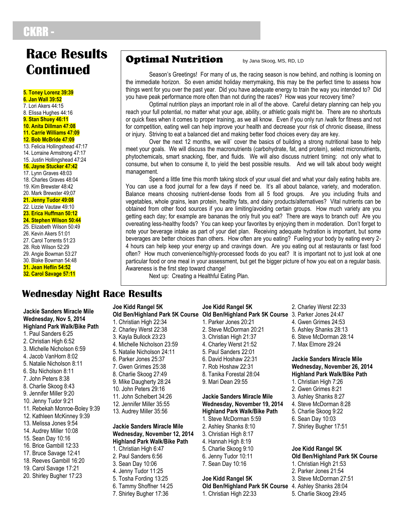## CKRR -

## **Race Results optimal Nutrition** by Jana Skoog, MS, RD, LD **Continued**

**5. Toney Lorenz 39:39 6. Jan Wall 39:52** 7. Lori Akers 44:15 8. Elissa Hughes 44:16 **9. Stan Shuey 46:11 10. Anita Dillman 47:08 11. Carrie Williams 47:09 12. Bob McBride 47:09** 13. Felicia Hollingshead 47:17 14. Lorraine Armstrong 47:17 15. Justin Hollingshead 47:24 **16. Jayne Stucker 47:42** 17. Lynn Graves 48:03 18. Charles Graves 48:04 19. Kim Brewster 48:42 20. Mark Brewster 49;07 **21. Jenny Tudor 49:08** 22. Lizzie Vautaw 49:10 **23. Erica Huffman 50:12 24. Stephen Wilson 50:44** 25. Elizabeth Wilson 50:49 26. Kevin Akers 51:01 27. Carol Torrents 51:23 28. Rob Wilson 52:29 29. Angie Bowman 53:27 30. Blake Bowman 54:48 **31. Jean Heflin 54:52 32. Carol Savage 57:11**

Season's Greetings! For many of us, the racing season is now behind, and nothing is looming on the immediate horizon. So even amidst holiday merrymaking, this may be the perfect time to assess how things went for you over the past year. Did you have adequate energy to train the way you intended to? Did you have peak performance more often than not during the races? How was your recovery time?

Optimal nutrition plays an important role in all of the above. Careful dietary planning can help you reach your full potential, no matter what your age, ability, or athletic goals might be. There are no shortcuts or quick fixes when it comes to proper training, as we all know. Even if you only run /walk for fitness and not for competition, eating well can help improve your health and decrease your risk of chronic disease, illness or injury. Striving to eat a balanced diet and making better food choices every day are key.

Over the next 12 months, we will` cover the basics of building a strong nutritional base to help meet your goals. We will discuss the macronutrients (carbohydrate, fat, and protein), select micronutrients, phytochemicals, smart snacking, fiber, and fluids. We will also discuss nutrient timing: not only what to consume, but when to consume it, to yield the best possible results. And we will talk about body weight management.

Spend a little time this month taking stock of your usual diet and what your daily eating habits are. You can use a food journal for a few days if need be. It's all about balance, variety, and moderation. Balance means choosing nutrient-dense foods from all 5 food groups. Are you including fruits and vegetables, whole grains, lean protein, healthy fats, and dairy products/alternatives? Vital nutrients can be obtained from other food sources if you are limiting/avoiding certain groups. How much variety are you getting each day; for example are bananas the only fruit you eat? There are ways to branch out! Are you overeating less-healthy foods? You can keep your favorites by enjoying them in moderation. Don't forget to note your beverage intake as part of your diet plan. Receiving adequate hydration is important, but some beverages are better choices than others. How often are you eating? Fueling your body by eating every 2- 4 hours can help keep your energy up and cravings down. Are you eating out at restaurants or fast food often? How much convenience/highly-processed foods do you eat? It is important not to just look at one particular food or one meal in your assessment, but get the bigger picture of how you eat on a regular basis. Awareness is the first step toward change!

Next up: Creating a Healthful Eating Plan.

### **Wednesday Night Race Results**

**Jackie Sanders Miracle Mile Wednesday, Nov 5, 2014 Highland Park Walk/Bike Path** 1. Paul Sanders 6:25 2. Christian High 6:52 3. Michelle Nicholson 6:59 4. Jacob VanHorn 8:02 5. Natalie Nicholson 8:11 6. Stu Nicholson 8:11 7. John Peters 8:38 8. Charlie Skoog 8:43 9. Jennifer Miller 9:20 10. Jenny Tudor 9:21 11. Rebekah Monroe-Boley 9:39 12. Kathleen McKinney 9:39 13. Melissa Jones 9:54 14. Audrey Miller 10:08 15. Sean Day 10:16 16. Brice Gambill 12:33 17. Bruce Savage 12:41 18. Reeves Gambill 16:20 19. Carol Savage 17:21 20. Shirley Bugher 17:23

#### **Joe Kidd Rangel 5K Old Ben/Highland Park 5K Course Old Ben/Highland Park 5K Course** 3. Parker Jones 24:47 1. Christian High 22:34 2. Charley Werst 22:38 3. Kayla Bullock 23:23 4. Michelle Nicholson 23:59 5. Natalie Nicholson 24:11 6. Parker Jones 25:37 7. Gwen Grimes 25:38 8. Charlie Skoog 27:49 9. Mike Daugherty 28:24 10. John Peters 29:16 11. John Schelbert 34:26 12. Jennifer Miller 35:55 13. Audrey Miller 35:56 **Jackie Sanders Miracle Mile Wednesday, November 12, 2014 Highland Park Walk/Bike Path** 1. Christian High 6:47 2. Paul Sanders 6:56 3. Sean Day 10:06 4. Jenny Tudor 11:25 5. Tosha Fording 13:25 6. Tammy Shoffner 14:25 7. Shirley Bugher 17:36

### **Joe Kidd Rangel 5K**

- 1. Parker Jones 20:21 2. Steve McDorman 20:21 3. Christian High 21:37 4. Charley Werst 21:52 5. Paul Sanders 22:01 6. David Hoshaw 22:31 7. Rob Hoshaw 22:31 8. Tanika Forestal 28:04
- 9. Mari Dean 29:55

#### **Jackie Sanders Miracle Mile Wednesday, November 19, 2014 Highland Park Walk/Bike Path**

- 1. Steve McDorman 5:59 2. Ashley Shanks 8:10 3. Christian High 8:17
- 4. Hannah High 8:19
- 5. Charlie Skoog 9:10
- 6. Jenny Tudor 10:11
- 7. Sean Day 10:16

#### **Joe Kidd Rangel 5K**

### **Old Ben/Highland Park 5K Course** 4. Ashley Shanks 28:04

1. Christian High 22:33

2. Charley Werst 22:33 4. Gwen Grimes 24:53 5. Ashley Shanks 28:13 6. Steve McDorman 28:14 7. Max Elmore 29:24

#### **Jackie Sanders Miracle Mile Wednesday, November 26, 2014 Highland Park Walk/Bike Path**

- 1. Christian High 7:26
- 2. Gwen Grimes 8:21
- 3. Ashley Shanks 8:27
- 4. Steve McDorman 8:28
- 5. Charlie Skoog 9:22
- 6. Sean Day 10:03
- 7. Shirley Bugher 17:51

5. Charlie Skoog 29:45

#### **Joe Kidd Rangel 5K Old Ben/Highland Park 5K Course** 1. Christian High 21:53 2. Parker Jones 21:54 3. Steve McDorman 27:51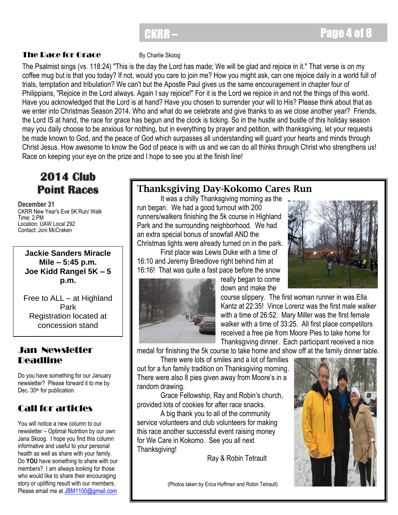### **CKRR – Page 4 of 8**

### **The Race for Grace** By Charlie Skoog

The Psalmist sings (vs. 118:24) "This is the day the Lord has made; We will be glad and rejoice in it." That verse is on my coffee mug but is that you today? If not, would you care to join me? How you might ask, can one rejoice daily in a world full of trials, temptation and tribulation? We can't but the Apostle Paul gives us the same encouragement in chapter four of Philippians, "Rejoice in the Lord always. Again I say rejoice!" For it is the Lord we rejoice in and not the things of this world. Have you acknowledged that the Lord is at hand? Have you chosen to surrender your will to His? Please think about that as we enter into Christmas Season 2014. Who and what do we celebrate and give thanks to as we close another year? Friends, the Lord IS at hand, the race for grace has begun and the clock is ticking. So in the hustle and bustle of this holiday season may you daily choose to be anxious for nothing, but in everything by prayer and petition, with thanksgiving, let your requests be made known to God, and the peace of God which surpasses all understanding will guard your hearts and minds through Christ Jesus. How awesome to know the God of peace is with us and we can do all thinks through Christ who strengthens us! Race on keeping your eye on the prize and I hope to see you at the finish line!

### **2014 Club Point Races**

**December 31** CKRR New Year's Eve 5K Run/ Walk Time: 2 PM Location: UAW Local 292 Contact: Joni McCraken

#### **Jackie Sanders Miracle Mile – 5:45 p.m. Joe Kidd Rangel 5K – 5 p.m.**

Free to ALL – at Highland Park Registration located at concession stand

### Jan Newsletter Deadline

Do you have something for our January newsletter? Please forward it to me by Dec. 30<sup>th</sup> for publication.

### Call for articles

You will notice a new column to our newsletter – Optimal Nutrition by our own Jana Skoog. I hope you find this column informative and useful to your personal health as well as share with your family. Do **YOU** have something to share with our members? I am always looking for those who would like to share their encouraging story or uplifting result with our members. Please email me a[t JBM1100@gmail.com](mailto:JBM1100@gmail.com) 

### **Thanksgiving Day-Kokomo Cares Run**

It was a chilly Thanksgiving morning as the run began. We had a good turnout with 200 runners/walkers finishing the 5k course in Highland Park and the surrounding neighborhood. We had an extra special bonus of snowfall AND the Christmas lights were already turned on in the park.

First place was Lewis Duke with a time of 16:10 and Jeremy Breedlove right behind him at 16:16! That was quite a fast pace before the snow



 really began to come down and make the



 course slippery. The first woman runner in was Ella Kantz at 22:35! Vince Lorenz was the first male walker with a time of 26:52. Mary Miller was the first female walker with a time of 33:25. All first place competitors received a free pie from Moore Pies to take home for Thanksgiving dinner. Each participant received a nice

medal for finishing the 5k course to take home and show off at the family dinner table.

There were lots of smiles and a lot of families out for a fun family tradition on Thanksgiving morning. There were also 8 pies given away from Moore's in a random drawing.

Grace Fellowship, Ray and Robin's church, provided lots of cookies for after race snacks.

A big thank you to all of the community service volunteers and club volunteers for making this race another successful event raising money for We Care in Kokomo. See you all next Thanksgiving!

Ray & Robin Tetrault

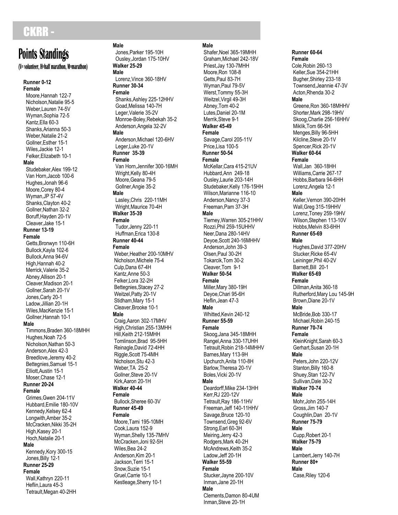### CKRR-

#### **(V= volunteer, H=half marathon, M=marathon)**

**Runner 0 -12 Female** Moore,Hannah 122 - 7 Nicholson,Natalie 95 - 5 Weber,Lauren 74 -5V Wyman,Sophia 72 - 5 Kantz,Ella 60 - 3 Shanks, Arianna 50-3 Weber,Natalie 21 - 2 Gollner,Esther 15 - 1 Wiles,Jackie 12 - 1 Felker, Elizabeth 10-1 **Male** Studebaker,Alex 199 -12 Van Horn,Jacob 100 - 6 Hughes,Jonah 96 - 6 Moore, Corey 80-4 Wyman,JP 57 -4V Shanks, Clayton 40-2 Gollner,Nathan 32 - 2 Boruff,Hayden 20 -1V Cleaver,Jake 15 - 1 **Runner 13 -19 Female** Getts,Bronwyn 110 -6H Bullock,Kayla 102 - 6 Bullock,Anna 94 -6V High, Hannah 40-2 Merrick,Valerie 35 - 2 Abney,Allison 20 - 1 Cleaver,Madison 20 - 1 Gollner,Sarah 20 -1V Jones, Carly 20-1 Ladow,Jillian 20 -1H Wiles,MacKenzie 15 - 1 Gollner,Hannah 10 - 1 **Male** Timmons,Braden 360 -18MHH Hughes, Noah 72-5 Nicholson,Nathan 50 - 3 Anderson,Alex 42 - 3 Breedlove,Jeremy 40 - 2 Bettegnies,Samuel 15 - 1 Elliott,Austin 15 - 1 Moser, Chase 12-1 **Runner 20 -24 Female** Grimes,Gwen 204 -11V Hubbard,Emilie 180 -10V Kennedy,Kelsey 62 - 4 Longwith,Amber 35 - 2 McCracken,Nikki 35 -2H High, Kasey 20-1 Hoch, Natalie 20-1 **Male** Kennedy,Kory 300 -15 Jones, Billy 12-1 **Runner 25 -29**

#### **Female**

 Wall,Kathryn 220 -11 Heflin,Laura 45 - 3 Tetrault,Megan 40 -2HH

## **Male**

 Jones,Parker 195 -10H Ousley,Jordan 175 -10HV **Walker 25 -29 Male** Lorenz, Vince 360-18HV

#### **Runner 30 -34 Female**

 Shanks,Ashley 225 -12HHV Goad,Melissa 140 -7H Leger,Valerie 35 -2V Monroe -Boley,Rebekah 35 - 2 Anderson,Angela 32 -2V **Male** Anderson,Michael 120 -6HV Leger, Luke 20-1V **Runner 35 -39 Female** Van Horn, Jennifer 300-16MH Wright, Kelly 80-4H Moore,Geana 79 - 5 Gollner,Angie 35 - 2 **Male** Lasley, Chris 220-11MH Wright,Maurice 70 -4H **Walker 35 -39 Female** Tudor,Jenny 220 -11 Huffman,Erica 130 - 8 **Runner 40 -44 Female** Weber,Heather 200 -10MHV Nicholson,Michele 75 - 4 Culp,Dana 67 -4H Kantz,Anne 50 - 3 Felker,Lora 32 -2H Bettegnies,Stacey 27 - 2 Weitzel,Patty 20 -1V Stidham,Mary 15 - 1 Cleaver,Brooke 10 - 1 **Male** Craig,Aaron 30 2 - 17MHV High,Christian 255 -13MHH Hill,Keith 21 2 - 15MHH Tomlinson,Brad 95 -5HH Reinagle,David 72 -4HH Riggle, Scott 75-4MH Nicholson,Stu 42 - 3 Weber,TA 25 - 2 Gollner,Steve 20 -1V Kirk,Aaron 20 -1H **Walker 40 -44 Female** Bullock,Sheree 60 -3V **Runner 45 -49 Female** Moore,Tami 195 -10MH Cook,Laura 152 - 9 Wyman,Shelly 135 -7MHV McCracken,Joni 92 -5H Wiles,Bea 24 - 2 Anderson,Kim 20 - 1 Jackson,Terri 15 - 1 Snow,Suzie 15 - 1

Gruel,Carrie 10 - 1 Kestleage,Sherry 10 - 1

#### **Male**

Shafer,Noel 365 -19MHH Graham,Michael 242 -18V Priest,Jay 130 -7MHH Moore, Ron 108-8 Getts,Paul 83 -7H Wyman,Paul 79 -5V Werst,Tommy 55 -3H Weitzel,Virgil 49 -3H Abney,Tom 40 - 2 Lutes,Daniel 20 -1M Merrik,Steve 9 - 1 **Walker 45 -49 Female** Savage,Carol 205 -11V Price,Lisa 100 - 5 **Runner 50 -54 Female** McKellar,Cara 415 -21UV Hubbard,Ann 249 -18 Ousley,Laurie 203 -14H Studebaker, Kelly 176-15HH Wilson,Marianne 116 -10 Anderson,Nancy 37 - 3 Freeman,Pam 37 -3H **Male** Tierney,Warren 30 5 - 21HHV Rozzi, Phil 259-15UHHV Neer,Dana 280 -14HV Deyoe, Scott 240-16MHHV Anderson,John 39 - 3 Olsen,Paul 30 -2H Tokarcik,Tom 30 - 2 Cleaver, Tom 9-1 **Walker 50 -54 Female** Miller,Mary 380 -19H Deyoe,Chari 95 -6H Heflin,Jean 47 - 3 **Male** Whitted,Kevin 240 -12 **Runner 55 -59 Female** Skoog, Jana 345-18MHH Rangel, Anna 330-17UHH Tetrault,Robin 218 -14MHHV Barnes,Mary 113 -9H Upchurch,Anita 110 -8H Barlow,Theresa 20 -1V Boles,Vicki 20 -1V **Male** Deardorff,Mike 234 -13HH Kerr,RJ 220 -12V Tetrault, Ray 186-11HV Freeman,Jeff 140 -11HHV Savage,Bruce 120 -10 Townsend,Greg 92 -6V Strong,Earl 60 -3H Meiring, Jerry 42-3 Rodgers,Mark 40 -2H McAndrews, Keith 35-2 Ladow,Jeff 20 -1H **Walker 55 -59 Female** Stucker, Jayne 200-10V Inman,Jane 20 -1H **Male** Clements,Damon 80 -4UM Inman,Steve 20 -1H **TURING MATHEMATICS:** Conservation 3. The methods of the standing of the standing of the standing of the standing of the standing of the standing of the standing of the standing of the standing of the standing of the stan

#### **Runner 60 -64 Female**

Cole,Robin 260 -13 Keller,Sue 354 -21HH Bugher,Shirley 233 -18 Townsend,Jeannie 47 -3V Acton,Rhenda 30 - 2 **Male** Greene,Ron 3 6 0 - 18MHHV Shorter,Mark 298 -19HV Skoog,Charlie 256 -16HHV Miklik,Tom 66 -5H Menges, Billy 96-5HH Kilcline,Steve 20 -1V Spencer,Rick 20 -1V **Walker 60 -64 Female** Wall,Jan 360-18HH Williams,Carrie 267 -17 Hobbs,Barbara 94 -6HH Lorenz,Angela 12 - 1 **Male** Keller,Vernon 390 -20HH Wall, Greg 315-19HHV Lorenz,Toney 259 -19HV Wilson,Stephen 113 -10V Hobbs,Melvin 83 -6HH **Runner 65 -69 Male** Hughes,David 377 -20HV Stucker,Ricke 65 -4V Leininger,Phil 40 -2V Barnett,Bill 20 - 1 **Walker 65 -69 Female** Dillman,Anita 360 -18 Rutherford,Mary Lou 145 -9H Brown,Diane 20 -1V **Male** McBride,Bob 330 -17 Michael,Robin 240 -15 **Runner 70 -74 Female** KleinKnight,Sarah 60 - 3 Gerhart,Susan 20 -1H **Male** Peters,John 220 -12V Stanton,Billy 160 - 8 Shuey,Stan 122 -7V Sullivan,Dale 30 - 2 **Walker 70 -74 Male** Mohr,John 255 -14H Gross,Jim 140 - 7 Coughlin,Dan 20 -1V **Runner 75 -79 Male** Cupp,Robert 20 - 1 **Walker 75 -79 Male** Lambert,Jerry 140 -7H **Runner 80+ Male** Case,Riley 120 -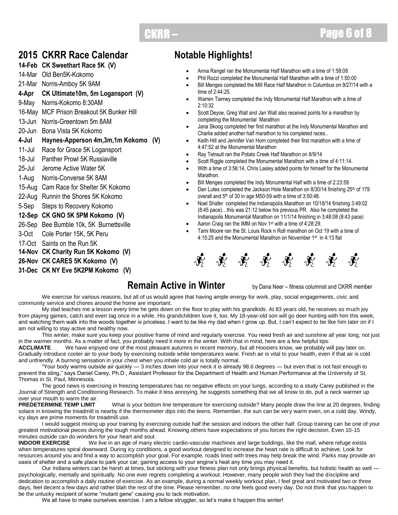### **CKRR – Page 6 of 8**

### **2015 CKRR Race Calendar**

#### **14-Feb CK Sweethart Race 5K (V)**

14-Mar Old Ben5K-Kokomo

21-Mar Norris-Amboy 5K 9AM

- **4-Apr CK Ultimate10m, 5m Logansport (V)**
- 9-May Norris-Kokomo 8:30AM
- 16-May MCF Prison Breakout 5K Bunker Hill
- 13-Jun Norris-Greentown 5m 8AM
- 20-Jun Bona Vista 5K Kokomo
- **4-Jul Haynes-Apperson 4m,3m,1m Kokomo (V)**
- 11-Jul Race for Grace 5K Logansport
- 18-Jul Panther Prowl 5K Russiaville
- 25-Jul Jerome Active Water 5K
- 1-Aug Norris-Converse 5K 8AM
- 15-Aug Cam Race for Shelter 5K Kokomo
- 22-Aug Runnin the Shores 5K Kokomo
- 5-Sep Steps to Recovery Kokomo

#### **12-Sep CK GNO 5K 5PM Kokomo (V)**

- 26-Sep Bee Bumble 10k, 5K Burnettsville
- 3-Oct Cole Porter 15K, 5K Peru
- 17-Oct Saints on the Run 5K
- **14-Nov CK Charity Run 5K Kokomo (V)**
- **26-Nov CK CARES 5K Kokomo (V)**

#### **31-Dec CK NY Eve 5K2PM Kokomo (V)**

### **Notable Highlights!**

- Anna Rangel ran the Monumental Half Marathon with a time of 1:58:08
- Phil Rozzi completed the Monumental Half Marathon with a time of 1:50:00
- Bill Menges completed the Mill Race Half Marathon in Columbus on 9/27/14 with a time of 2:44:25.
- Warren Tierney completed the Indy Monumental Half Marathon with a time of 2:10:32
- Scott Deyoe, Greg Wall and Jan Wall also received points for a marathon by completing the Monumental Marathon
- Jana Skoog completed her first marathon at the Indy Monumental Marathon and Charlie added another half marathon to his completed races..
- Keith Hill and Jennifer Van Horn completed their first marathon with a time of 4:47:52 at the Monumental Marathon
- Ray Tetrault ran the Potato Creek Half Marathon on 8/9/14
- Scott Riggle completed the Monumental Marathon with a time of 4:11:14.
- With a time of 3:56:14, Chris Lasley added points for himself for the Monumental Marathon.
- Bill Menges completed the Indy Monumental Half with a time of 2:23:59
- Dan Lutes completed the Jackson Hole Marathon on 8/30/14 finishing 25<sup>th</sup> of 179 overall and 5<sup>th</sup> of 30 in age M50-59 with a time of 3:50:48.
- Noel Shafer completed the Indianapolis Marathon on 10/18/14 finishing 3:49:02 (8:45 pace)…this was 21:12 below his previous PR. Also he completed the Indianapolis Monumental Marathon on 11/1/14 finishing in 3:48:08 (8:43 pace)
- Aaron Craig ran the IMM on Nov 1<sup>st</sup> with a time of 4:28:29.
- Tami Moore ran the St. Louis Rock n Roll marathon on Oct 19 with a time of 4:15:25 and the Monumental Marathon on November 1st in 4:13 flat



### **Remain Active in Winter** by Dana Neer – fitness columnist and CKRR member

We exercise for various reasons, but all of us would agree that having ample energy for work, play, social engagements, civic and community service and chores around the home are important.

My dad teaches me a lesson every time he gets down on the floor to play with his grandkids. At 83 years old, he receives so much joy from playing games, catch and even tag once in a while. His grandchildren love it, too. My 18-year-old son will go deer hunting with him this week, and watching them walk into the woods together is priceless. I want to be like my dad when I grow up. But, I can't expect to be like him later on if I am not willing to stay active and healthy now.

This winter, make sure you keep your positive frame of mind and regularly exercise. You need fresh air and sunshine all year long, not just in the warmer months. As a matter of fact, you probably need it more in the winter. With that in mind, here are a few helpful tips:

**ACCLIMATE** We have enjoyed one of the most pleasant autumns in recent memory, but all Hoosiers know, we probably will pay later on. Gradually introduce cooler air to your body by exercising outside while temperatures wane. Fresh air is vital to your health, even if that air is cold and unfriendly. A burning sensation in your chest when you inhale cold air is totally normal.

―Your body warms outside air quickly — 3 inches down into your neck it is already 98.6 degrees — but even that is not fast enough to prevent the sting," says Daniel Carey, Ph.D., Assistant Professor for the Department of Health and Human Performance at the University of St. Thomas in St. Paul, Minnesota.

The good news is exercising in freezing temperatures has no negative effects on your lungs, according to a study Carey published in the Journal of Strength and Conditioning Research. To make it less annoying, he suggests something that we all know to do, pull a neck warmer up over your mouth to warm the air.<br>PREDETERMINE TEMP LIMIT

over your mouth to warm the air.<br>**PREDETERMINE TEMP LIMIT** What is your bottom line temperature for exercising outside? Many people draw the line at 20 degrees, finding solace in knowing the treadmill is nearby if the thermometer dips into the teens. Remember, the sun can be very warm even, on a cold day. Windy, icy days are prime moments for treadmill use.

I would suggest mixing up your training by exercising outside half the session and indoors the other half. Group training can be one of your greatest motivational pieces during the tough months ahead. Knowing others have expectations of you forces the right decision. Even 10-15 minutes outside can do wonders for your heart and soul.<br>**INDOOR EXERCISE** We live in an age of many e

We live in an age of many electric cardio-vascular machines and large buildings, like the mall, where refuge exists when temperatures spiral downward. During icy conditions, a good workout designed to increase the heart rate is difficult to achieve. Look for resources around you and find a way to accomplish your goal. For example, roads lined with trees may help break the wind. Parks may provide an oasis of shelter and a safe place to park your car, gaining access to your engine's heat any time you may need it.

Our Indiana winters can be harsh at times, but sticking with your fitness plan not only brings physical benefits, but holistic health as well psychologically, mentally and spiritually. No one ever regrets completing a workout. However, many people wish they had the discipline and dedication to accomplish a daily routine of exercise. As an example, during a normal weekly workout plan, I feel great and motivated two or three days, feel decent a few days and rather blah the rest of the time. Please remember, no one feels good every day. Do not think that you happen to be the unlucky recipient of some "mutant gene" causing you to lack motivation.

We all have to make ourselves exercise. I am a fellow struggler, so let's make it happen this winter!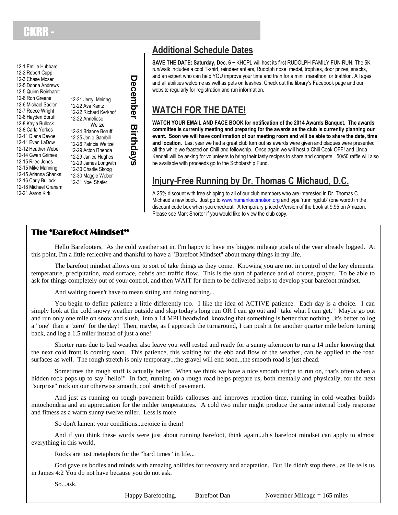12-1 Emilie Hubbard 12-2 Robert Cupp 12-3 Chase Moser 12-5 Donna Andrews 12-5 Quinn Reinhardt 12-6 Ron Greene 12-6 Michael Sadler 12-7 Reece Wright 12-8 Hayden Boruff 12-8 Kayla Bullock 12-8 Carla Yerkes 12-11 Diana Deyoe 12-11 Evan LaDow 12-12 Heather Weber 12-14 Gwen Grimes 12-15 Rilee Jones 12-15 Mike Manning 12-15 Arianna Shanks 12-16 Carly Bullock 12-18 Michael Graham 12-21 Aaron Kirk

12-21 Jerry Meiring 12-22 Ava Kantz 12-22 Richard Kerkhof 12-22 Anneliese **Weitzel** 12-24 Brianne Boruff 12-25 Jenie Gambill 12-26 Patricia Weitzel 12-29 Acton Rhenda 12-29 Janice Hughes 12-29 James Longwith 12-30 Charlie Skoog 12-30 Maggie Weber 12-31 Noel Shafer

### **Additional Schedule Dates**

**SAVE THE DATE: Saturday, Dec. 6 ~** KHCPL will host its first RUDOLPH FAMILY FUN RUN. The 5K run/walk includes a cool T-shirt, reindeer antlers, Rudolph nose, medal, trophies, door prizes, snacks, and an expert who can help YOU improve your time and train for a mini, marathon, or triathlon. All ages and all abilities welcome as well as pets on leashes. Check out the library's Facebook page and our website regularly for registration and run information.

### **WATCH FOR THE DATE!**

**WATCH YOUR EMAIL AND FACE BOOK for notification of the 2014 Awards Banquet. The awards committee is currently meeting and preparing for the awards as the club is currently planning our event. Soon we will have confirmation of our meeting room and will be able to share the date, time and location.** Last year we had a great club turn out as awards were given and plaques were presented all the while we feasted on Chili and fellowship. Once again we will host a Chili Cook OFF! and Linda Kendall will be asking for volunteers to bring their tasty recipes to share and compete. 50/50 raffle will also be available with proceeds go to the Scholarship Fund.

### **Injury-Free Running by Dr. Thomas C Michaud, D.C.**

A 25% discount with free shipping to all of our club members who are interested in Dr. Thomas C. Michaud's new book. Just go t[o www.humanlocomotion.org](http://www.humanlocomotion.org/) and type 'runningclub' (one word0 in the discount code box when you checkout. A temporary priced eVersion of the book at 9.95 on Amazon. Please see Mark Shorter if you would like to view the club copy.

### The 'Barefoot Mindset"

Hello Barefooters, As the cold weather set in, I'm happy to have my biggest mileage goals of the year already logged. At this point, I'm a little reflective and thankful to have a "Barefoot Mindset" about many things in my life.

The barefoot mindset allows one to sort of take things as they come. Knowing you are not in control of the key elements: temperature, precipitation, road surface, debris and traffic flow. This is the start of patience and of course, prayer. To be able to ask for things completely out of your control, and then WAIT for them to be delivered helps to develop your barefoot mindset.

And waiting doesn't have to mean sitting and doing nothing...

**D**

**ecember**

**Birthdays**

You begin to define patience a little differently too. I like the idea of ACTIVE patience. Each day is a choice. I can simply look at the cold snowy weather outside and skip today's long run OR I can go out and "take what I can get." Maybe go out and run only one mile on snow and slush, into a 14 MPH headwind, knowing that something is better that nothing...it's better to log a "one" than a "zero" for the day! Then, maybe, as I approach the turnaround, I can push it for another quarter mile before turning back, and log a 1.5 miler instead of just a one!

Shorter runs due to bad weather also leave you well rested and ready for a sunny afternoon to run a 14 miler knowing that the next cold front is coming soon. This patience, this waiting for the ebb and flow of the weather, can be applied to the road surfaces as well. The rough stretch is only temporary...the gravel will end soon...the smooth road is just ahead.

Sometimes the rough stuff is actually better. When we think we have a nice smooth stripe to run on, that's often when a hidden rock pops up to say "hello!" In fact, running on a rough road helps prepare us, both mentally and physically, for the next "surprise" rock on our otherwise smooth, cool stretch of pavement.

And just as running on rough pavement builds callouses and improves reaction time, running in cold weather builds mitochondria and an appreciation for the milder temperatures. A cold two miler might produce the same internal body response and fitness as a warm sunny twelve miler. Less is more.

So don't lament your conditions...rejoice in them!

And if you think these words were just about running barefoot, think again...this barefoot mindset can apply to almost everything in this world.

Rocks are just metaphors for the "hard times" in life...

God gave us bodies and minds with amazing abilities for recovery and adaptation. But He didn't stop there...as He tells us in James 4:2 You do not have because you do not ask.

So...ask.